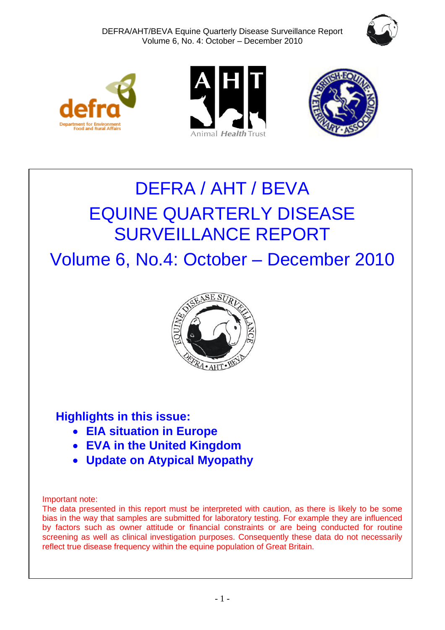







# DEFRA / AHT / BEVA EQUINE QUARTERLY DISEASE SURVEILLANCE REPORT

Volume 6, No.4: October – December 2010



# **Highlights in this issue:**

- **EIA situation in Europe**
- **EVA in the United Kingdom**
- **Update on Atypical Myopathy**

# Important note:

The data presented in this report must be interpreted with caution, as there is likely to be some bias in the way that samples are submitted for laboratory testing. For example they are influenced by factors such as owner attitude or financial constraints or are being conducted for routine screening as well as clinical investigation purposes. Consequently these data do not necessarily reflect true disease frequency within the equine population of Great Britain.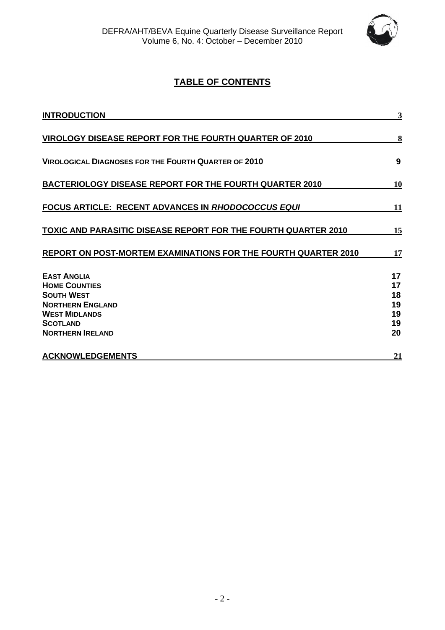

# **TABLE OF CONTENTS**

| <b>INTRODUCTION</b>                                                                        | 3                    |
|--------------------------------------------------------------------------------------------|----------------------|
| VIROLOGY DISEASE REPORT FOR THE FOURTH QUARTER OF 2010                                     | 8                    |
| <b>VIROLOGICAL DIAGNOSES FOR THE FOURTH QUARTER OF 2010</b>                                | 9                    |
| <b>BACTERIOLOGY DISEASE REPORT FOR THE FOURTH QUARTER 2010</b>                             | 10                   |
| FOCUS ARTICLE: RECENT ADVANCES IN RHODOCOCCUS EQUI                                         | 11                   |
| <b>TOXIC AND PARASITIC DISEASE REPORT FOR THE FOURTH QUARTER 2010</b>                      | 15                   |
| REPORT ON POST-MORTEM EXAMINATIONS FOR THE FOURTH QUARTER 2010                             | 17                   |
| <b>EAST ANGLIA</b><br><b>HOME COUNTIES</b><br><b>SOUTH WEST</b><br><b>NORTHERN ENGLAND</b> | 17<br>17<br>18<br>19 |
| <b>WEST MIDLANDS</b><br><b>SCOTLAND</b><br><b>NORTHERN IRELAND</b>                         | 19<br>19<br>20       |
| <b>ACKNOWLEDGEMENTS</b>                                                                    | 21                   |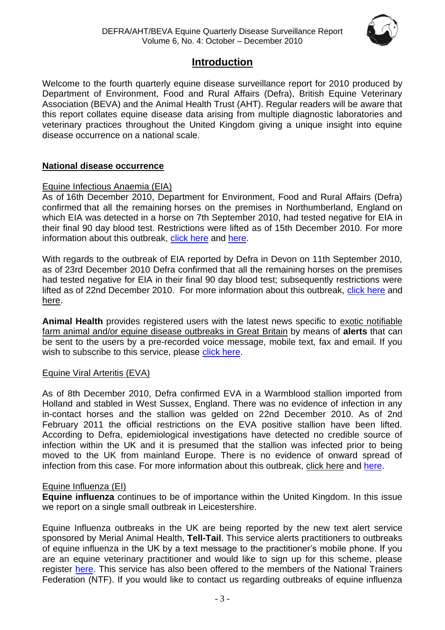

# **Introduction**

<span id="page-2-0"></span>Welcome to the fourth quarterly equine disease surveillance report for 2010 produced by Department of Environment, Food and Rural Affairs (Defra), British Equine Veterinary Association (BEVA) and the Animal Health Trust (AHT). Regular readers will be aware that this report collates equine disease data arising from multiple diagnostic laboratories and veterinary practices throughout the United Kingdom giving a unique insight into equine disease occurrence on a national scale.

# **National disease occurrence**

# Equine Infectious Anaemia (EIA)

As of 16th December 2010, Department for Environment, Food and Rural Affairs (Defra) confirmed that all the remaining horses on the premises in Northumberland, England on which EIA was detected in a horse on 7th September 2010, had tested negative for EIA in their final 90 day blood test. Restrictions were lifted as of 15th December 2010. For more information about this outbreak, [click here](http://www.defra.gov.uk/foodfarm/farmanimal/diseases/atoz/eia/latest/index.htm) and [here.](http://web.oie.int/wahis/public.php?page=single_report&pop=1&reportid=9682)

With regards to the outbreak of EIA reported by Defra in Devon on 11th September 2010, as of 23rd December 2010 Defra confirmed that all the remaining horses on the premises had tested negative for EIA in their final 90 day blood test; subsequently restrictions were lifted as of 22nd December 2010. For more information about this outbreak, [click here](http://web.oie.int/wahis/public.php?page=single_report&pop=1&reportid=9706) and [here.](http://ww2.defra.gov.uk/2010/09/11/eia-news2/)

**Animal Health** provides registered users with the latest news specific to exotic notifiable farm animal and/or equine disease outbreaks in Great Britain by means of **alerts** that can be sent to the users by a pre-recorded voice message, mobile text, fax and email. If you wish to subscribe to this service, please [click here.](http://animalhealth.system-message.co.uk/AH_subscribe_index.php)

# Equine Viral Arteritis (EVA)

As of 8th December 2010, Defra confirmed EVA in a Warmblood stallion imported from Holland and stabled in West Sussex, England. There was no evidence of infection in any in-contact horses and the stallion was gelded on 22nd December 2010. As of 2nd February 2011 the official restrictions on the EVA positive stallion have been lifted. According to Defra, epidemiological investigations have detected no credible source of infection within the UK and it is presumed that the stallion was infected prior to being moved to the UK from mainland Europe. There is no evidence of onward spread of infection from this case. For more information about this outbreak, [click here](http://www.defra.gov.uk/foodfarm/farmanimal/diseases/atoz/eva/#latestsituation) and [here.](http://web.oie.int/wahis/public.php?page=single_report&pop=1&reportid=10031)

# Equine Influenza (EI)

**Equine influenza** continues to be of importance within the United Kingdom. In this issue we report on a single small outbreak in Leicestershire.

Equine Influenza outbreaks in the UK are being reported by the new text alert service sponsored by Merial Animal Health, **Tell-Tail**. This service alerts practitioners to outbreaks of equine influenza in the UK by a text message to the practitioner's mobile phone. If you are an equine veterinary practitioner and would like to sign up for this scheme, please register [here.](http://www.merial.co.uk/) This service has also been offered to the members of the National Trainers Federation (NTF). If you would like to contact us regarding outbreaks of equine influenza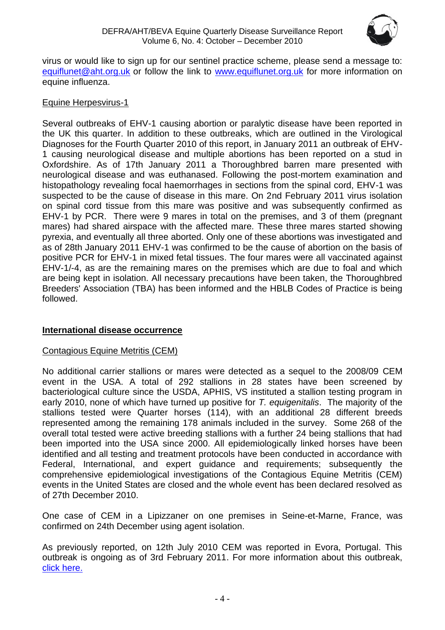

virus or would like to sign up for our sentinel practice scheme, please send a message to: [equiflunet@aht.org.uk](mailto:equiflunet@aht.org.uk) or follow the link to [www.equiflunet.org.uk](http://www.equiflunet.org.uk/) for more information on equine influenza.

# Equine Herpesvirus-1

Several outbreaks of EHV-1 causing abortion or paralytic disease have been reported in the UK this quarter. In addition to these outbreaks, which are outlined in the Virological Diagnoses for the Fourth Quarter 2010 of this report, in January 2011 an outbreak of EHV-1 causing neurological disease and multiple abortions has been reported on a stud in Oxfordshire. As of 17th January 2011 a Thoroughbred barren mare presented with neurological disease and was euthanased. Following the post-mortem examination and histopathology revealing focal haemorrhages in sections from the spinal cord, EHV-1 was suspected to be the cause of disease in this mare. On 2nd February 2011 virus isolation on spinal cord tissue from this mare was positive and was subsequently confirmed as EHV-1 by PCR. There were 9 mares in total on the premises, and 3 of them (pregnant mares) had shared airspace with the affected mare. These three mares started showing pyrexia, and eventually all three aborted. Only one of these abortions was investigated and as of 28th January 2011 EHV-1 was confirmed to be the cause of abortion on the basis of positive PCR for EHV-1 in mixed fetal tissues. The four mares were all vaccinated against EHV-1/-4, as are the remaining mares on the premises which are due to foal and which are being kept in isolation. All necessary precautions have been taken, the Thoroughbred Breeders' Association (TBA) has been informed and the HBLB Codes of Practice is being followed.

# **International disease occurrence**

# Contagious Equine Metritis (CEM)

No additional carrier stallions or mares were detected as a sequel to the 2008/09 CEM event in the USA. A total of 292 stallions in 28 states have been screened by bacteriological culture since the USDA, APHIS, VS instituted a stallion testing program in early 2010, none of which have turned up positive for *T. equigenitalis*. The majority of the stallions tested were Quarter horses (114), with an additional 28 different breeds represented among the remaining 178 animals included in the survey. Some 268 of the overall total tested were active breeding stallions with a further 24 being stallions that had been imported into the USA since 2000. All epidemiologically linked horses have been identified and all testing and treatment protocols have been conducted in accordance with Federal, International, and expert guidance and requirements; subsequently the comprehensive epidemiological investigations of the Contagious Equine Metritis (CEM) events in the United States are closed and the whole event has been declared resolved as of 27th December 2010.

One case of CEM in a Lipizzaner on one premises in Seine-et-Marne, France, was confirmed on 24th December using agent isolation.

As previously reported, on 12th July 2010 CEM was reported in Evora, Portugal. This outbreak is ongoing as of 3rd February 2011. For more information about this outbreak, [click here.](http://web.oie.int/wahis/public.php?page=single_report&pop=1&reportid=9592)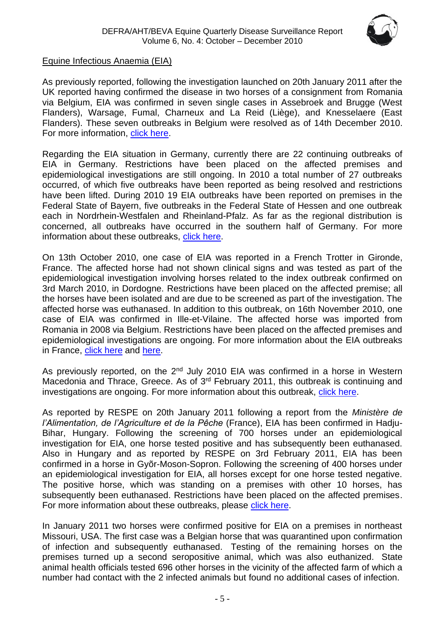

# Equine Infectious Anaemia (EIA)

As previously reported, following the investigation launched on 20th January 2011 after the UK reported having confirmed the disease in two horses of a consignment from Romania via Belgium, EIA was confirmed in seven single cases in Assebroek and Brugge (West Flanders), Warsage, Fumal, Charneux and La Reid (Liège), and Knesselaere (East Flanders). These seven outbreaks in Belgium were resolved as of 14th December 2010. For more information, [click here.](http://web.oie.int/wahis/public.php?page=single_report&pop=1&reportid=8917)

Regarding the EIA situation in Germany, currently there are 22 continuing outbreaks of EIA in Germany. Restrictions have been placed on the affected premises and epidemiological investigations are still ongoing. In 2010 a total number of 27 outbreaks occurred, of which five outbreaks have been reported as being resolved and restrictions have been lifted. During 2010 19 EIA outbreaks have been reported on premises in the Federal State of Bayern, five outbreaks in the Federal State of Hessen and one outbreak each in Nordrhein-Westfalen and Rheinland-Pfalz. As far as the regional distribution is concerned, all outbreaks have occurred in the southern half of Germany. For more information about these outbreaks, [click here.](http://web.oie.int/wahis/public.php?page=single_report&pop=1&reportid=9660)

On 13th October 2010, one case of EIA was reported in a French Trotter in Gironde, France. The affected horse had not shown clinical signs and was tested as part of the epidemiological investigation involving horses related to the index outbreak confirmed on 3rd March 2010, in Dordogne. Restrictions have been placed on the affected premise; all the horses have been isolated and are due to be screened as part of the investigation. The affected horse was euthanased. In addition to this outbreak, on 16th November 2010, one case of EIA was confirmed in Ille-et-Vilaine. The affected horse was imported from Romania in 2008 via Belgium. Restrictions have been placed on the affected premises and epidemiological investigations are ongoing. For more information about the EIA outbreaks in France, [click here](http://web.oie.int/wahis/public.php?page=disease_immediate_summary&disease_type=Terrestrial&disease_id=59&empty=999999) and [here.](http://www.respe.net/alerteall)

As previously reported, on the  $2<sup>nd</sup>$  July 2010 EIA was confirmed in a horse in Western Macedonia and Thrace, Greece. As of 3<sup>rd</sup> February 2011, this outbreak is continuing and investigations are ongoing. For more information about this outbreak, [click here.](http://web.oie.int/wahis/public.php?page=single_report&pop=1&reportid=9495)

As reported by RESPE on 20th January 2011 following a report from the *Ministère de l'Alimentation, de l'Agriculture et de la Pêche* (France), EIA has been confirmed in Hadju-Bihar, Hungary. Following the screening of 700 horses under an epidemiological investigation for EIA, one horse tested positive and has subsequently been euthanased. Also in Hungary and as reported by RESPE on 3rd February 2011, EIA has been confirmed in a horse in Gyõr-Moson-Sopron. Following the screening of 400 horses under an epidemiological investigation for EIA, all horses except for one horse tested negative. The positive horse, which was standing on a premises with other 10 horses, has subsequently been euthanased. Restrictions have been placed on the affected premises. For more information about these outbreaks, please [click here.](http://web.oie.int/wahis/public.php?page=single_report&pop=1&reportid=10211)

In January 2011 two horses were confirmed positive for EIA on a premises in northeast Missouri, USA. The first case was a Belgian horse that was quarantined upon confirmation of infection and subsequently euthanased. Testing of the remaining horses on the premises turned up a second seropositive animal, which was also euthanized. State animal health officials tested 696 other horses in the vicinity of the affected farm of which a number had contact with the 2 infected animals but found no additional cases of infection.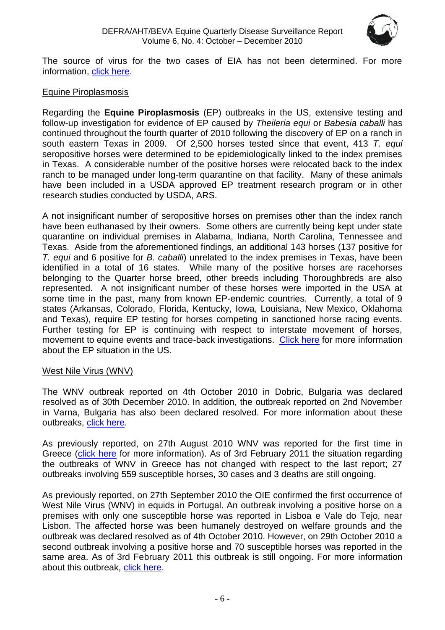

The source of virus for the two cases of EIA has not been determined. For more information, [click here.](http://www.promedmail.org/pls/apex/f?p=2400:1202:2715866266485749::NO::F2400_P1202_CHECK_DISPLAY,F2400_P1202_PUB_MAIL_ID:X,86859)

# Equine Piroplasmosis

Regarding the **Equine Piroplasmosis** (EP) outbreaks in the US, extensive testing and follow-up investigation for evidence of EP caused by *Theileria equi* or *Babesia caballi* has continued throughout the fourth quarter of 2010 following the discovery of EP on a ranch in south eastern Texas in 2009. Of 2,500 horses tested since that event, 413 *T. equi* seropositive horses were determined to be epidemiologically linked to the index premises in Texas. A considerable number of the positive horses were relocated back to the index ranch to be managed under long-term quarantine on that facility. Many of these animals have been included in a USDA approved EP treatment research program or in other research studies conducted by USDA, ARS.

A not insignificant number of seropositive horses on premises other than the index ranch have been euthanased by their owners. Some others are currently being kept under state quarantine on individual premises in Alabama, Indiana, North Carolina, Tennessee and Texas. Aside from the aforementioned findings, an additional 143 horses (137 positive for *T. equi* and 6 positive for *B. caballi*) unrelated to the index premises in Texas, have been identified in a total of 16 states. While many of the positive horses are racehorses belonging to the Quarter horse breed, other breeds including Thoroughbreds are also represented. A not insignificant number of these horses were imported in the USA at some time in the past, many from known EP-endemic countries. Currently, a total of 9 states (Arkansas, Colorado, Florida, Kentucky, Iowa, Louisiana, New Mexico, Oklahoma and Texas), require EP testing for horses competing in sanctioned horse racing events. Further testing for EP is continuing with respect to interstate movement of horses, movement to equine events and trace-back investigations. [Click here](http://web.oie.int/wahis/public.php?page=disease_immediate_summary&disease_type=Terrestrial&disease_id=61&empty=999999) for more information about the EP situation in the US.

# West Nile Virus (WNV)

The WNV outbreak reported on 4th October 2010 in Dobric, Bulgaria was declared resolved as of 30th December 2010. In addition, the outbreak reported on 2nd November in Varna, Bulgaria has also been declared resolved. For more information about these outbreaks, [click here.](http://web.oie.int/wahis/public.php?page=single_report&pop=1&reportid=9793)

As previously reported, on 27th August 2010 WNV was reported for the first time in Greece [\(click here](http://web.oie.int/wahis/public.php?page=single_report&pop=1&reportid=9642) for more information). As of 3rd February 2011 the situation regarding the outbreaks of WNV in Greece has not changed with respect to the last report; 27 outbreaks involving 559 susceptible horses, 30 cases and 3 deaths are still ongoing.

As previously reported, on 27th September 2010 the OIE confirmed the first occurrence of West Nile Virus (WNV) in equids in Portugal. An outbreak involving a positive horse on a premises with only one susceptible horse was reported in Lisboa e Vale do Tejo, near Lisbon. The affected horse was been humanely destroyed on welfare grounds and the outbreak was declared resolved as of 4th October 2010. However, on 29th October 2010 a second outbreak involving a positive horse and 70 susceptible horses was reported in the same area. As of 3rd February 2011 this outbreak is still ongoing. For more information about this outbreak, [click here.](http://web.oie.int/wahis/public.php?page=single_report&pop=1&reportid=9879)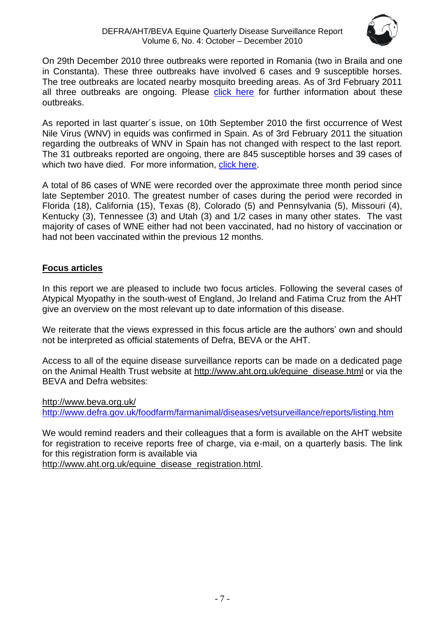

On 29th December 2010 three outbreaks were reported in Romania (two in Braila and one in Constanta). These three outbreaks have involved 6 cases and 9 susceptible horses. The tree outbreaks are located nearby mosquito breeding areas. As of 3rd February 2011 all three outbreaks are ongoing. Please [click here](http://web.oie.int/wahis/public.php?page=single_report&pop=1&reportid=10112) for further information about these outbreaks.

As reported in last quarter´s issue, on 10th September 2010 the first occurrence of West Nile Virus (WNV) in equids was confirmed in Spain. As of 3rd February 2011 the situation regarding the outbreaks of WNV in Spain has not changed with respect to the last report. The 31 outbreaks reported are ongoing, there are 845 susceptible horses and 39 cases of which two have died. For more information, [click here.](http://web.oie.int/wahis/public.php?page=single_report&pop=1&reportid=9695)

A total of 86 cases of WNE were recorded over the approximate three month period since late September 2010. The greatest number of cases during the period were recorded in Florida (18), California (15), Texas (8), Colorado (5) and Pennsylvania (5), Missouri (4), Kentucky (3), Tennessee (3) and Utah (3) and 1/2 cases in many other states. The vast majority of cases of WNE either had not been vaccinated, had no history of vaccination or had not been vaccinated within the previous 12 months.

# **Focus articles**

In this report we are pleased to include two focus articles. Following the several cases of Atypical Myopathy in the south-west of England, Jo Ireland and Fatima Cruz from the AHT give an overview on the most relevant up to date information of this disease.

We reiterate that the views expressed in this focus article are the authors' own and should not be interpreted as official statements of Defra, BEVA or the AHT.

Access to all of the equine disease surveillance reports can be made on a dedicated page on the Animal Health Trust website at [http://www.aht.org.uk/equine\\_disease.html](http://www.aht.org.uk/equine_disease.html) or via the BEVA and Defra websites:

<http://www.beva.org.uk/> <http://www.defra.gov.uk/foodfarm/farmanimal/diseases/vetsurveillance/reports/listing.htm>

We would remind readers and their colleagues that a form is available on the AHT website for registration to receive reports free of charge, via e-mail, on a quarterly basis. The link for this registration form is available via

<span id="page-6-0"></span>[http://www.aht.org.uk/equine\\_disease\\_registration.html.](http://www.aht.org.uk/equine_disease_registration.html)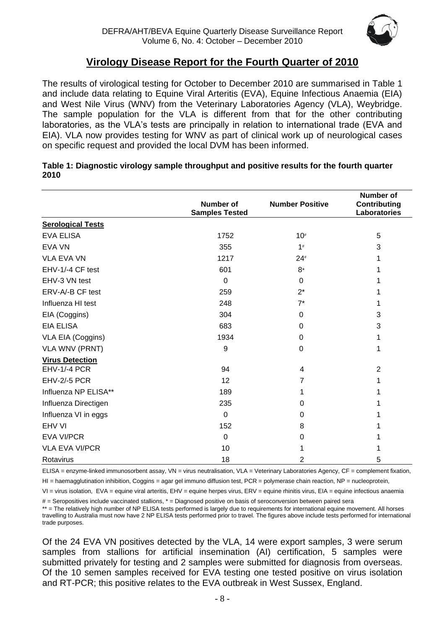

# **Virology Disease Report for the Fourth Quarter of 2010**

The results of virological testing for October to December 2010 are summarised in Table 1 and include data relating to Equine Viral Arteritis (EVA), Equine Infectious Anaemia (EIA) and West Nile Virus (WNV) from the Veterinary Laboratories Agency (VLA), Weybridge. The sample population for the VLA is different from that for the other contributing laboratories, as the VLA's tests are principally in relation to international trade (EVA and EIA). VLA now provides testing for WNV as part of clinical work up of neurological cases on specific request and provided the local DVM has been informed.

|                          | <b>Number of</b><br><b>Samples Tested</b> | <b>Number Positive</b> | <b>Number of</b><br>Contributing<br>Laboratories |
|--------------------------|-------------------------------------------|------------------------|--------------------------------------------------|
| <b>Serological Tests</b> |                                           |                        |                                                  |
| EVA ELISA                | 1752                                      | $10\#$                 | 5                                                |
| <b>EVA VN</b>            | 355                                       | 1#                     | 3                                                |
| <b>VLA EVA VN</b>        | 1217                                      | $24*$                  | 1                                                |
| EHV-1/-4 CF test         | 601                                       | 8*                     | 1                                                |
| EHV-3 VN test            | $\Omega$                                  | $\Omega$               |                                                  |
| ERV-A/-B CF test         | 259                                       | $2^*$                  | 1                                                |
| Influenza HI test        | 248                                       | $7^*$                  | 1                                                |
| EIA (Coggins)            | 304                                       | 0                      | 3                                                |
| <b>EIA ELISA</b>         | 683                                       | 0                      | 3                                                |
| VLA EIA (Coggins)        | 1934                                      | 0                      | 1                                                |
| <b>VLA WNV (PRNT)</b>    | 9                                         | 0                      | 1                                                |
| <b>Virus Detection</b>   |                                           |                        |                                                  |
| <b>EHV-1/-4 PCR</b>      | 94                                        | 4                      | $\overline{2}$                                   |
| <b>EHV-2/-5 PCR</b>      | 12                                        | 7                      | 1                                                |
| Influenza NP ELISA**     | 189                                       | 1                      |                                                  |
| Influenza Directigen     | 235                                       | 0                      |                                                  |
| Influenza VI in eggs     | $\mathbf 0$                               | 0                      |                                                  |
| EHV VI                   | 152                                       | 8                      |                                                  |
| <b>EVA VI/PCR</b>        | $\Omega$                                  | $\Omega$               |                                                  |
| <b>VLA EVA VI/PCR</b>    | 10                                        | 1                      |                                                  |
| Rotavirus                | 18                                        | $\overline{2}$         | 5                                                |

#### **Table 1: Diagnostic virology sample throughput and positive results for the fourth quarter 2010**

ELISA = enzyme-linked immunosorbent assay, VN = virus neutralisation, VLA = Veterinary Laboratories Agency, CF = complement fixation,

 $H =$  haemagglutination inhibition, Coggins = agar gel immuno diffusion test, PCR = polymerase chain reaction, NP = nucleoprotein,

VI = virus isolation, EVA = equine viral arteritis, EHV = equine herpes virus, ERV = equine rhinitis virus, EIA = equine infectious anaemia

# = Seropositives include vaccinated stallions, \* = Diagnosed positive on basis of seroconversion between paired sera

\*\* = The relatively high number of NP ELISA tests performed is largely due to requirements for international equine movement. All horses travelling to Australia must now have 2 NP ELISA tests performed prior to travel. The figures above include tests performed for international trade purposes.

Of the 24 EVA VN positives detected by the VLA, 14 were export samples, 3 were serum samples from stallions for artificial insemination (AI) certification, 5 samples were submitted privately for testing and 2 samples were submitted for diagnosis from overseas. Of the 10 semen samples received for EVA testing one tested positive on virus isolation and RT-PCR; this positive relates to the EVA outbreak in West Sussex, England.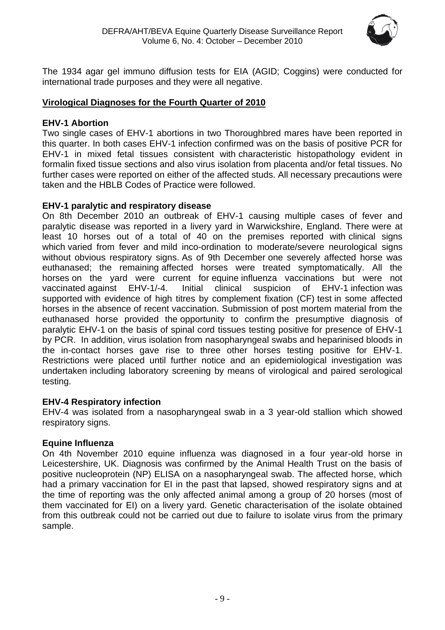

The 1934 agar gel immuno diffusion tests for EIA (AGID; Coggins) were conducted for international trade purposes and they were all negative.

# <span id="page-8-0"></span>**Virological Diagnoses for the Fourth Quarter of 2010**

# **EHV-1 Abortion**

Two single cases of EHV-1 abortions in two Thoroughbred mares have been reported in this quarter. In both cases EHV-1 infection confirmed was on the basis of positive PCR for EHV-1 in mixed fetal tissues consistent with characteristic histopathology evident in formalin fixed tissue sections and also virus isolation from placenta and/or fetal tissues. No further cases were reported on either of the affected studs. All necessary precautions were taken and the HBLB Codes of Practice were followed.

# **EHV-1 paralytic and respiratory disease**

On 8th December 2010 an outbreak of EHV-1 causing multiple cases of fever and paralytic disease was reported in a livery yard in Warwickshire, England. There were at least 10 horses out of a total of 40 on the premises reported with clinical signs which varied from fever and mild inco-ordination to moderate/severe neurological signs without obvious respiratory signs. As of 9th December one severely affected horse was euthanased; the remaining affected horses were treated symptomatically. All the horses on the yard were current for equine influenza vaccinations but were not vaccinated against EHV-1/-4. Initial clinical suspicion of EHV-1 infection was supported with evidence of high titres by complement fixation (CF) test in some affected horses in the absence of recent vaccination. Submission of post mortem material from the euthanased horse provided the opportunity to confirm the presumptive diagnosis of paralytic EHV-1 on the basis of spinal cord tissues testing positive for presence of EHV-1 by PCR. In addition, virus isolation from nasopharyngeal swabs and heparinised bloods in the in-contact horses gave rise to three other horses testing positive for EHV-1. Restrictions were placed until further notice and an epidemiological investigation was undertaken including laboratory screening by means of virological and paired serological testing.

# **EHV-4 Respiratory infection**

EHV-4 was isolated from a nasopharyngeal swab in a 3 year-old stallion which showed respiratory signs.

# **Equine Influenza**

On 4th November 2010 equine influenza was diagnosed in a four year-old horse in Leicestershire, UK. Diagnosis was confirmed by the Animal Health Trust on the basis of positive nucleoprotein (NP) ELISA on a nasopharyngeal swab. The affected horse, which had a primary vaccination for EI in the past that lapsed, showed respiratory signs and at the time of reporting was the only affected animal among a group of 20 horses (most of them vaccinated for EI) on a livery yard. Genetic characterisation of the isolate obtained from this outbreak could not be carried out due to failure to isolate virus from the primary sample.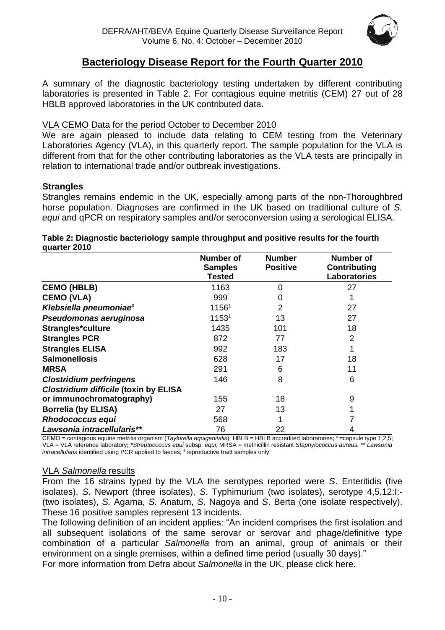

# **Bacteriology Disease Report for the Fourth Quarter 2010**

<span id="page-9-0"></span>A summary of the diagnostic bacteriology testing undertaken by different contributing laboratories is presented in Table 2. For contagious equine metritis (CEM) 27 out of 28 HBLB approved laboratories in the UK contributed data.

## VLA CEMO Data for the period October to December 2010

We are again pleased to include data relating to CEM testing from the Veterinary Laboratories Agency (VLA), in this quarterly report. The sample population for the VLA is different from that for the other contributing laboratories as the VLA tests are principally in relation to international trade and/or outbreak investigations.

#### **Strangles**

Strangles remains endemic in the UK, especially among parts of the non-Thoroughbred horse population. Diagnoses are confirmed in the UK based on traditional culture of *S. equi* and qPCR on respiratory samples and/or seroconversion using a serological ELISA.

| <b>YUGILGI LUIU</b>                          |                                              |                                  |                                                                |
|----------------------------------------------|----------------------------------------------|----------------------------------|----------------------------------------------------------------|
|                                              | <b>Number of</b><br><b>Samples</b><br>Tested | <b>Number</b><br><b>Positive</b> | <b>Number of</b><br><b>Contributing</b><br><b>Laboratories</b> |
| <b>CEMO (HBLB)</b>                           | 1163                                         | 0                                | 27                                                             |
| <b>CEMO (VLA)</b>                            | 999                                          | 0                                |                                                                |
| Klebsiella pneumoniae <sup>#</sup>           | 11561                                        | 2                                | 27                                                             |
| Pseudomonas aeruginosa                       | 11531                                        | 13                               | 27                                                             |
| Strangles*culture                            | 1435                                         | 101                              | 18                                                             |
| <b>Strangles PCR</b>                         | 872                                          | 77                               | 2                                                              |
| <b>Strangles ELISA</b>                       | 992                                          | 183                              |                                                                |
| <b>Salmonellosis</b>                         | 628                                          | 17                               | 18                                                             |
| <b>MRSA</b>                                  | 291                                          | 6                                | 11                                                             |
| <b>Clostridium perfringens</b>               | 146                                          | 8                                | 6                                                              |
| <b>Clostridium difficile (toxin by ELISA</b> |                                              |                                  |                                                                |
| or immunochromatography)                     | 155                                          | 18                               | 9                                                              |
| <b>Borrelia (by ELISA)</b>                   | 27                                           | 13                               |                                                                |
| <b>Rhodococcus equi</b>                      | 568                                          |                                  |                                                                |
| Lawsonia intracellularis**                   | 76                                           | 22                               | 4                                                              |

#### **Table 2: Diagnostic bacteriology sample throughput and positive results for the fourth quarter 2010**

CEMO = contagious equine metritis organism (Taylorella equigenitalis); HBLB = HBLB accredited laboratories; #=capsule type 1,2,5; VLA = VLA reference laboratory**; \****Streptococcus equi* subsp*. equi*; MRSA = methicillin resistant *Staphylococcus aureus.* \*\* *Lawsonia intracellularis* identified using PCR applied to faeces; <sup>1</sup> reproductive tract samples only

#### VLA *Salmonella* results

From the 16 strains typed by the VLA the serotypes reported were *S*. Enteritidis (five isolates), *S*. Newport (three isolates), *S*. Typhimurium (two isolates), serotype 4,5,12:I:- (two isolates), *S.* Agama, *S*. Anatum, *S*. Nagoya and *S*. Berta (one isolate respectively). These 16 positive samples represent 13 incidents.

The following definition of an incident applies: "An incident comprises the first isolation and all subsequent isolations of the same serovar or serovar and phage/definitive type combination of a particular *Salmonella* from an animal, group of animals or their environment on a single premises, within a defined time period (usually 30 days)."

For more information from Defra about *Salmonella* in the UK, please [click here.](http://www.defra.gov.uk/vla/reports/rep_salm_rep07.htm)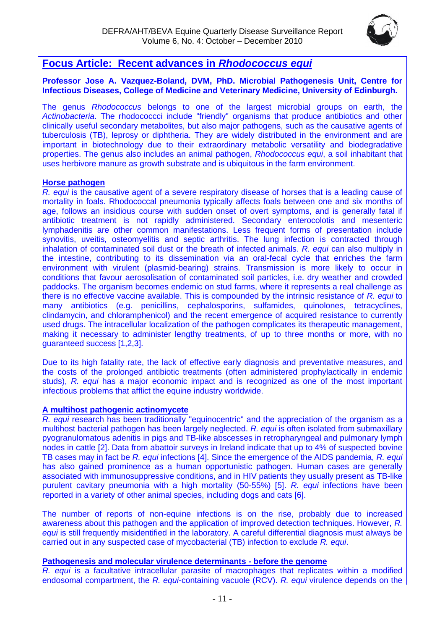

# <span id="page-10-0"></span>**Focus Article: Recent advances in** *Rhodococcus equi*

#### **Professor Jose A. Vazquez-Boland, DVM, PhD. Microbial Pathogenesis Unit, Centre for Infectious Diseases, College of Medicine and Veterinary Medicine, University of Edinburgh.**

The genus *Rhodococcus* belongs to one of the largest microbial groups on earth, the *Actinobacteria*. The rhodococcci include "friendly" organisms that produce antibiotics and other clinically useful secondary metabolites, but also major pathogens, such as the causative agents of tuberculosis (TB), leprosy or diphtheria. They are widely distributed in the environment and are important in biotechnology due to their extraordinary metabolic versatility and biodegradative properties. The genus also includes an animal pathogen, *Rhodococcus equi*, a soil inhabitant that uses herbivore manure as growth substrate and is ubiquitous in the farm environment.

#### **Horse pathogen**

*R. equi* is the causative agent of a severe respiratory disease of horses that is a leading cause of mortality in foals. Rhodococcal pneumonia typically affects foals between one and six months of age, follows an insidious course with sudden onset of overt symptoms, and is generally fatal if antibiotic treatment is not rapidly administered. Secondary enterocolotis and mesenteric lymphadenitis are other common manifestations. Less frequent forms of presentation include synovitis, uveitis, osteomyelitis and septic arthritis. The lung infection is contracted through inhalation of contaminated soil dust or the breath of infected animals. *R. equi* can also multiply in the intestine, contributing to its dissemination via an oral-fecal cycle that enriches the farm environment with virulent (plasmid-bearing) strains. Transmission is more likely to occur in conditions that favour aerosolisation of contaminated soil particles, i.e. dry weather and crowded paddocks. The organism becomes endemic on stud farms, where it represents a real challenge as there is no effective vaccine available. This is compounded by the intrinsic resistance of *R. equi* to many antibiotics (e.g. penicillins, cephalosporins, sulfamides, quinolones, tetracyclines, clindamycin, and chloramphenicol) and the recent emergence of acquired resistance to currently used drugs. The intracellular localization of the pathogen complicates its therapeutic management, making it necessary to administer lengthy treatments, of up to three months or more, with no guaranteed success [1,2,3].

Due to its high fatality rate, the lack of effective early diagnosis and preventative measures, and the costs of the prolonged antibiotic treatments (often administered prophylactically in endemic studs), *R. equi* has a major economic impact and is recognized as one of the most important infectious problems that afflict the equine industry worldwide.

#### **A multihost pathogenic actinomycete**

*R. equi* research has been traditionally "equinocentric" and the appreciation of the organism as a multihost bacterial pathogen has been largely neglected. *R. equi* is often isolated from submaxillary pyogranulomatous adenitis in pigs and TB-like abscesses in retropharyngeal and pulmonary lymph nodes in cattle [2]. Data from abattoir surveys in Ireland indicate that up to 4% of suspected bovine TB cases may in fact be *R. equi* infections [4]. Since the emergence of the AIDS pandemia, *R. equi* has also gained prominence as a human opportunistic pathogen. Human cases are generally associated with immunosuppressive conditions, and in HIV patients they usually present as TB-like purulent cavitary pneumonia with a high mortality (50-55%) [5]. *R. equi* infections have been reported in a variety of other animal species, including dogs and cats [6].

The number of reports of non-equine infections is on the rise, probably due to increased awareness about this pathogen and the application of improved detection techniques. However, *R. equi* is still frequently misidentified in the laboratory. A careful differential diagnosis must always be carried out in any suspected case of mycobacterial (TB) infection to exclude *R. equi*.

#### **Pathogenesis and molecular virulence determinants - before the genome**

*R. equi* is a facultative intracellular parasite of macrophages that replicates within a modified endosomal compartment, the *R. equi*-containing vacuole (RCV). *R. equi* virulence depends on the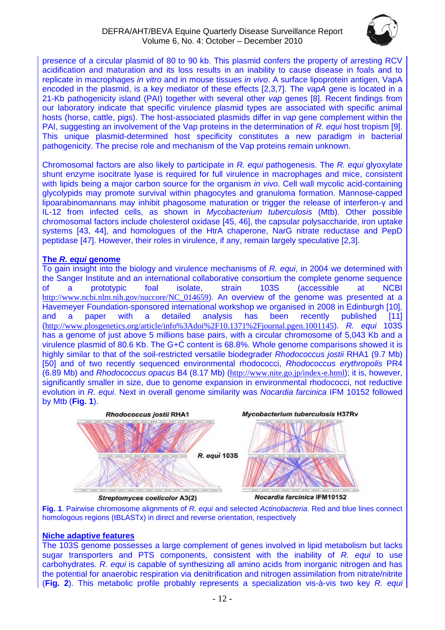

presence of a circular plasmid of 80 to 90 kb. This plasmid confers the property of arresting RCV acidification and maturation and its loss results in an inability to cause disease in foals and to replicate in macrophages *in vitro* and in mouse tissues *in vivo*. A surface lipoprotein antigen, VapA encoded in the plasmid, is a key mediator of these effects [2,3,7]. The *vapA* gene is located in a 21-Kb pathogenicity island (PAI) together with several other *vap* genes [8]. Recent findings from our laboratory indicate that specific virulence plasmid types are associated with specific animal hosts (horse, cattle, pigs). The host-associated plasmids differ in *vap* gene complement within the PAI, suggesting an involvement of the Vap proteins in the determination of *R. equi* host tropism [9]. This unique plasmid-determined host specificity constitutes a new paradigm in bacterial pathogenicity. The precise role and mechanism of the Vap proteins remain unknown.

Chromosomal factors are also likely to participate in *R. equi* pathogenesis. The *R. equi* glyoxylate shunt enzyme isocitrate lyase is required for full virulence in macrophages and mice, consistent with lipids being a major carbon source for the organism *in vivo*. Cell wall mycolic acid-containing glycolypids may promote survival within phagocytes and granuloma formation. Mannose-capped lipoarabinomannans may inhibit phagosome maturation or trigger the release of interferon-γ and IL-12 from infected cells, as shown in *Mycobacterium tuberculosis* (Mtb). Other possible chromosomal factors include cholesterol oxidase [45, 46], the capsular polysaccharide, iron uptake systems [43, 44], and homologues of the HtrA chaperone, NarG nitrate reductase and PepD peptidase [47]. However, their roles in virulence, if any, remain largely speculative [2,3].

#### **The** *R. equi* **genome**

To gain insight into the biology and virulence mechanisms of *R. equi*, in 2004 we determined with the Sanger Institute and an international collaborative consortium the complete genome sequence of a prototypic foal isolate, strain 103S (accessible at NCBI [http://www.ncbi.nlm.nih.gov/nuccore/NC\\_014659](http://www.ncbi.nlm.nih.gov/nuccore/NC_014659)). An overview of the genome was presented at a Havemeyer Foundation-sponsored international workshop we organised in 2008 in Edinburgh [10], and a paper with a detailed analysis has been recently published [11] (<http://www.plosgenetics.org/article/info%3Adoi%2F10.1371%2Fjournal.pgen.1001145>). *R. equi* 103S has a genome of just above 5 millions base pairs, with a circular chromosome of 5,043 Kb and a virulence plasmid of 80.6 Kb. The G+C content is 68.8%. Whole genome comparisons showed it is highly similar to that of the soil-restricted versatile biodegrader *Rhodococcus jostii* RHA1 (9.7 Mb) [50] and of two recently sequenced environmental rhodococci, *Rhodococcus erythropolis* PR4 (6.89 Mb) and *Rhodococcus opacus* B4 (8.17 Mb) (<http://www.nite.go.jp/index-e.html>); it is, however, significantly smaller in size, due to genome expansion in environmental rhodococci, not reductive evolution in *R. equi*. Next in overall genome similarity was *Nocardia farcinica* IFM 10152 followed by Mtb (**Fig. 1**).



**Fig. 1**. Pairwise chromosome alignments of *R. equi* and selected *Actinobacteria*. Red and blue lines connect homologous regions (tBLASTx) in direct and reverse orientation, respectively

#### **Niche adaptive features**

The 103S genome possesses a large complement of genes involved in lipid metabolism but lacks sugar transporters and PTS components, consistent with the inability of *R. equi* to use carbohydrates. *R. equi* is capable of synthesizing all amino acids from inorganic nitrogen and has the potential for anaerobic respiration via denitrification and nitrogen assimilation from nitrate/nitrite (**Fig. 2**). This metabolic profile probably represents a specialization vis-à-vis two key *R. equi*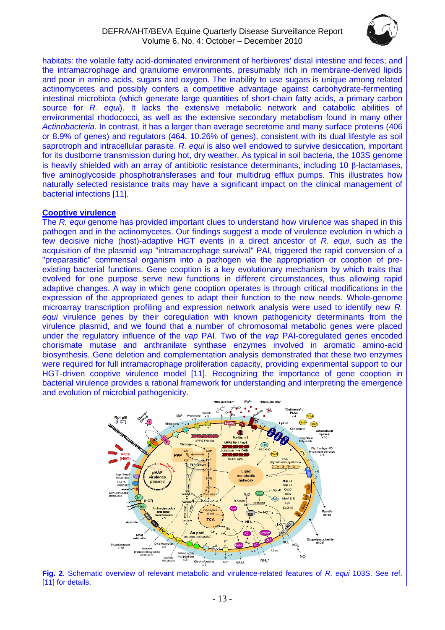

habitats: the volatile fatty acid-dominated environment of herbivores' distal intestine and feces; and the intramacrophage and granulome environments, presumably rich in membrane-derived lipids and poor in amino acids, sugars and oxygen. The inability to use sugars is unique among related actinomycetes and possibly confers a competitive advantage against carbohydrate-fermenting intestinal microbiota (which generate large quantities of short-chain fatty acids, a primary carbon source for *R. equi*). It lacks the extensive metabolic network and catabolic abilities of environmental rhodococci, as well as the extensive secondary metabolism found in many other *Actinobacteria*. In contrast, it has a larger than average secretome and many surface proteins (406 or 8.9% of genes) and regulators (464, 10.26% of genes), consistent with its dual lifestyle as soil saprotroph and intracellular parasite. *R. equi* is also well endowed to survive desiccation, important for its dustborne transmission during hot, dry weather. As typical in soil bacteria, the 103S genome is heavily shielded with an array of antibiotic resistance determinants, including 10  $\beta$ -lactamases, five aminoglycoside phosphotransferases and four multidrug efflux pumps. This illustrates how naturally selected resistance traits may have a significant impact on the clinical management of bacterial infections [11].

#### **Cooptive virulence**

The *R. equi* genome has provided important clues to understand how virulence was shaped in this pathogen and in the actinomycetes. Our findings suggest a mode of virulence evolution in which a few decisive niche (host)-adaptive HGT events in a direct ancestor of *R. equi*, such as the acquisition of the plasmid *vap* "intramacrophage survival" PAI, triggered the rapid conversion of a "preparasitic" commensal organism into a pathogen via the appropriation or cooption of preexisting bacterial functions. Gene cooption is a key evolutionary mechanism by which traits that evolved for one purpose serve new functions in different circumstances, thus allowing rapid adaptive changes. A way in which gene cooption operates is through critical modifications in the expression of the appropriated genes to adapt their function to the new needs. Whole-genome microarray transcription profiling and expression network analysis were used to identify new *R. equi* virulence genes by their coregulation with known pathogenicity determinants from the virulence plasmid, and we found that a number of chromosomal metabolic genes were placed under the regulatory influence of the *vap* PAI. Two of the *vap* PAI-coregulated genes encoded chorismate mutase and anthranilate synthase enzymes involved in aromatic amino-acid biosynthesis. Gene deletion and complementation analysis demonstrated that these two enzymes were required for full intramacrophage proliferation capacity, providing experimental support to our HGT-driven cooptive virulence model [11]. Recognizing the importance of gene cooption in bacterial virulence provides a rational framework for understanding and interpreting the emergence and evolution of microbial pathogenicity.



**Fig. 2**. Schematic overview of relevant metabolic and virulence-related features of *R. equi* 103S. See ref. [11] for details.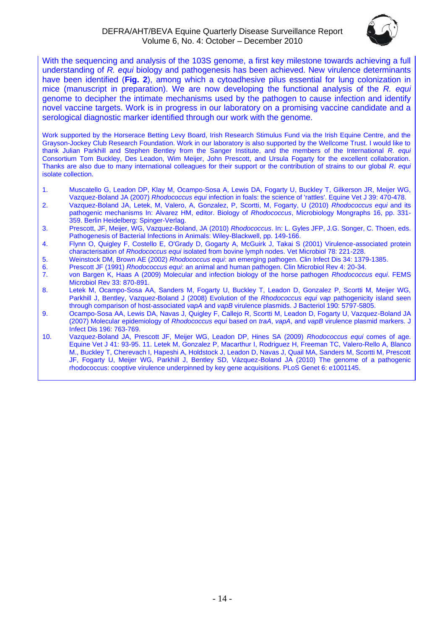

With the sequencing and analysis of the 103S genome, a first key milestone towards achieving a full understanding of *R. equi* biology and pathogenesis has been achieved. New virulence determinants have been identified (**Fig. 2**), among which a cytoadhesive pilus essential for lung colonization in mice (manuscript in preparation). We are now developing the functional analysis of the *R. equi* genome to decipher the intimate mechanisms used by the pathogen to cause infection and identify novel vaccine targets. Work is in progress in our laboratory on a promising vaccine candidate and a serological diagnostic marker identified through our work with the genome.

Work supported by the Horserace Betting Levy Board, Irish Research Stimulus Fund via the Irish Equine Centre, and the Grayson-Jockey Club Research Foundation. Work in our laboratory is also supported by the Wellcome Trust. I would like to thank Julian Parkhill and Stephen Bentley from the Sanger Institute, and the members of the International *R. equi* Consortium Tom Buckley, Des Leadon, Wim Meijer, John Prescott, and Ursula Fogarty for the excellent collaboration. Thanks are also due to many international colleagues for their support or the contribution of strains to our global *R. equi* isolate collection.

- 1. Muscatello G, Leadon DP, Klay M, Ocampo-Sosa A, Lewis DA, Fogarty U, Buckley T, Gilkerson JR, Meijer WG, Vazquez-Boland JA (2007) *Rhodococcus equi* infection in foals: the science of 'rattles'. Equine Vet J 39: 470-478.
- 2. Vazquez-Boland JA, Letek, M, Valero, A, Gonzalez, P, Scortti, M, Fogarty, U (2010) *Rhodococcus equi* and its pathogenic mechanisms In: Alvarez HM, editor. Biology of *Rhodococcus*, Microbiology Mongraphs 16, pp. 331- 359. Berlin Heidelberg: Spinger-Verlag.
- 3. Prescott, JF, Meijer, WG, Vazquez-Boland, JA (2010) *Rhodococcus*. In: L. Gyles JFP, J.G. Songer, C. Thoen, eds. Pathogenesis of Bacterial Infections in Animals: Wiley-Blackwell, pp. 149-166.
- 4. Flynn O, Quigley F, Costello E, O'Grady D, Gogarty A, McGuirk J, Takai S (2001) Virulence-associated protein characterisation of *Rhodococcus equi* isolated from bovine lymph nodes. Vet Microbiol 78: 221-228.
- 5. Weinstock DM, Brown AE (2002) *Rhodococcus equi*: an emerging pathogen. Clin Infect Dis 34: 1379-1385.
- 6. Prescott JF (1991) *Rhodococcus equi*: an animal and human pathogen. Clin Microbiol Rev 4: 20-34.
- 7. von Bargen K, Haas A (2009) Molecular and infection biology of the horse pathogen *Rhodococcus equi*. FEMS Microbiol Rev 33: 870-891.
- 8. Letek M, Ocampo-Sosa AA, Sanders M, Fogarty U, Buckley T, Leadon D, Gonzalez P, Scortti M, Meijer WG, Parkhill J, Bentley, Vazquez-Boland J (2008) Evolution of the *Rhodococcus equi vap* pathogenicity island seen through comparison of host-associated *vapA* and *vapB* virulence plasmids. J Bacteriol 190: 5797-5805.
- 9. Ocampo-Sosa AA, Lewis DA, Navas J, Quigley F, Callejo R, Scortti M, Leadon D, Fogarty U, Vazquez-Boland JA (2007) Molecular epidemiology of *Rhodococcus equi* based on *traA*, *vapA*, and *vapB* virulence plasmid markers. J Infect Dis 196: 763-769.
- 10. Vazquez-Boland JA, Prescott JF, Meijer WG, Leadon DP, Hines SA (2009) *Rhodococcus equi* comes of age. Equine Vet J 41: 93-95. 11. Letek M, Gonzalez P, Macarthur I, Rodriguez H, Freeman TC, Valero-Rello A, Blanco M., Buckley T, Cherevach I, Hapeshi A, Holdstock J, Leadon D, Navas J, Quail MA, Sanders M, Scortti M, Prescott JF, Fogarty U, Meijer WG, Parkhill J, Bentley SD, Vázquez-Boland JA (2010) The genome of a pathogenic rhodococcus: cooptive virulence underpinned by key gene acquisitions. PLoS Genet 6: e1001145.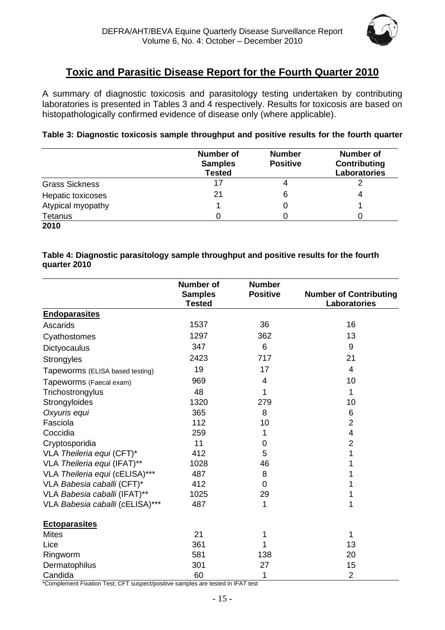

# **Toxic and Parasitic Disease Report for the Fourth Quarter 2010**

<span id="page-14-0"></span>A summary of diagnostic toxicosis and parasitology testing undertaken by contributing laboratories is presented in Tables 3 and 4 respectively. Results for toxicosis are based on histopathologically confirmed evidence of disease only (where applicable).

#### **Table 3: Diagnostic toxicosis sample throughput and positive results for the fourth quarter**

|                       | <b>Number of</b><br><b>Samples</b><br><b>Tested</b> | <b>Number</b><br><b>Positive</b> | <b>Number of</b><br>Contributing<br>Laboratories |
|-----------------------|-----------------------------------------------------|----------------------------------|--------------------------------------------------|
| <b>Grass Sickness</b> | 17                                                  |                                  |                                                  |
| Hepatic toxicoses     | 21                                                  | 6                                | 4                                                |
| Atypical myopathy     |                                                     |                                  |                                                  |
| Tetanus               |                                                     |                                  |                                                  |
| 2010                  |                                                     |                                  |                                                  |

#### **Table 4: Diagnostic parasitology sample throughput and positive results for the fourth quarter 2010**

|                                 | <b>Number of</b>                | <b>Number</b>   |                                                      |
|---------------------------------|---------------------------------|-----------------|------------------------------------------------------|
|                                 | <b>Samples</b><br><b>Tested</b> | <b>Positive</b> | <b>Number of Contributing</b><br><b>Laboratories</b> |
| <b>Endoparasites</b>            |                                 |                 |                                                      |
| Ascarids                        | 1537                            | 36              | 16                                                   |
| Cyathostomes                    | 1297                            | 362             | 13                                                   |
| Dictyocaulus                    | 347                             | 6               | 9                                                    |
| Strongyles                      | 2423                            | 717             | 21                                                   |
| Tapeworms (ELISA based testing) | 19                              | 17              | $\overline{4}$                                       |
| Tapeworms (Faecal exam)         | 969                             | 4               | 10                                                   |
| Trichostrongylus                | 48                              | 1               | 1                                                    |
| Strongyloides                   | 1320                            | 279             | 10                                                   |
| Oxyuris equi                    | 365                             | 8               | 6                                                    |
| Fasciola                        | 112                             | 10              | $\overline{2}$                                       |
| Coccidia                        | 259                             | 1               | 4                                                    |
| Cryptosporidia                  | 11                              | 0               | $\overline{2}$                                       |
| VLA Theileria equi (CFT)*       | 412                             | 5               | 1                                                    |
| VLA Theileria equi (IFAT)**     | 1028                            | 46              | 1                                                    |
| VLA Theileria equi (cELISA)***  | 487                             | 8               | 1                                                    |
| VLA Babesia caballi (CFT)*      | 412                             | 0               | 1                                                    |
| VLA Babesia caballi (IFAT)**    | 1025                            | 29              | 1                                                    |
| VLA Babesia caballi (cELISA)*** | 487                             | 1               | 1                                                    |
| <b>Ectoparasites</b>            |                                 |                 |                                                      |
| <b>Mites</b>                    | 21                              | 1               | 1                                                    |
| Lice                            | 361                             |                 | 13                                                   |
| Ringworm                        | 581                             | 138             | 20                                                   |
| Dermatophilus                   | 301                             | 27              | 15                                                   |
| Candida                         | 60                              | 1               | $\overline{2}$                                       |

\*Complement Fixation Test; CFT suspect/positive samples are tested in IFAT test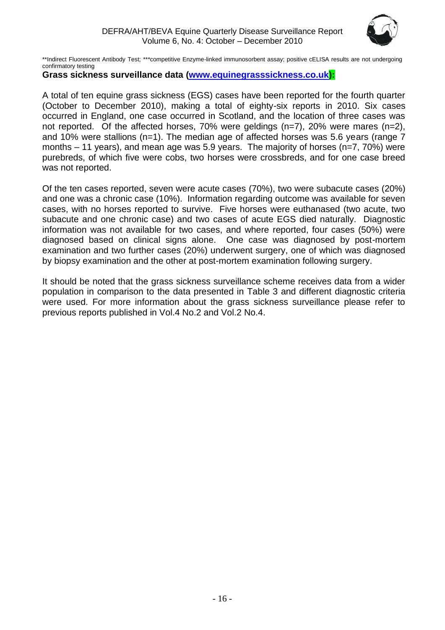

\*\*Indirect Fluorescent Antibody Test; \*\*\*competitive Enzyme-linked immunosorbent assay; positive cELISA results are not undergoing confirmatory testing

# **Grass sickness surveillance data [\(www.equinegrasssickness.co.uk\)](http://www.equinegrasssickness.co.uk/):**

A total of ten equine grass sickness (EGS) cases have been reported for the fourth quarter (October to December 2010), making a total of eighty-six reports in 2010. Six cases occurred in England, one case occurred in Scotland, and the location of three cases was not reported. Of the affected horses, 70% were geldings (n=7), 20% were mares (n=2), and 10% were stallions (n=1). The median age of affected horses was 5.6 years (range 7 months – 11 years), and mean age was 5.9 years. The majority of horses (n=7, 70%) were purebreds, of which five were cobs, two horses were crossbreds, and for one case breed was not reported.

Of the ten cases reported, seven were acute cases (70%), two were subacute cases (20%) and one was a chronic case (10%). Information regarding outcome was available for seven cases, with no horses reported to survive. Five horses were euthanased (two acute, two subacute and one chronic case) and two cases of acute EGS died naturally. Diagnostic information was not available for two cases, and where reported, four cases (50%) were diagnosed based on clinical signs alone. One case was diagnosed by post-mortem examination and two further cases (20%) underwent surgery, one of which was diagnosed by biopsy examination and the other at post-mortem examination following surgery.

It should be noted that the grass sickness surveillance scheme receives data from a wider population in comparison to the data presented in Table 3 and different diagnostic criteria were used. For more information about the grass sickness surveillance please refer to previous reports published in Vol.4 No.2 and Vol.2 No.4.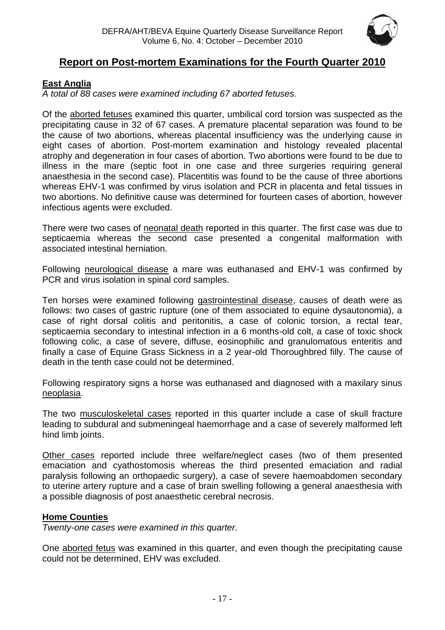

# <span id="page-16-0"></span>**Report on Post-mortem Examinations for the Fourth Quarter 2010**

# <span id="page-16-1"></span>**East Anglia**

*A total of 88 cases were examined including 67 aborted fetuses.*

Of the aborted fetuses examined this quarter, umbilical cord torsion was suspected as the precipitating cause in 32 of 67 cases. A premature placental separation was found to be the cause of two abortions, whereas placental insufficiency was the underlying cause in eight cases of abortion. Post-mortem examination and histology revealed placental atrophy and degeneration in four cases of abortion. Two abortions were found to be due to illness in the mare (septic foot in one case and three surgeries requiring general anaesthesia in the second case). Placentitis was found to be the cause of three abortions whereas EHV-1 was confirmed by virus isolation and PCR in placenta and fetal tissues in two abortions. No definitive cause was determined for fourteen cases of abortion, however infectious agents were excluded.

There were two cases of neonatal death reported in this quarter. The first case was due to septicaemia whereas the second case presented a congenital malformation with associated intestinal herniation.

Following neurological disease a mare was euthanased and EHV-1 was confirmed by PCR and virus isolation in spinal cord samples.

Ten horses were examined following gastrointestinal disease, causes of death were as follows: two cases of gastric rupture (one of them associated to equine dysautonomia), a case of right dorsal colitis and peritonitis, a case of colonic torsion, a rectal tear, septicaemia secondary to intestinal infection in a 6 months-old colt, a case of toxic shock following colic, a case of severe, diffuse, eosinophilic and granulomatous enteritis and finally a case of Equine Grass Sickness in a 2 year-old Thoroughbred filly. The cause of death in the tenth case could not be determined.

Following respiratory signs a horse was euthanased and diagnosed with a maxilary sinus neoplasia.

The two musculoskeletal cases reported in this quarter include a case of skull fracture leading to subdural and submeningeal haemorrhage and a case of severely malformed left hind limb joints.

Other cases reported include three welfare/neglect cases (two of them presented emaciation and cyathostomosis whereas the third presented emaciation and radial paralysis following an orthopaedic surgery), a case of severe haemoabdomen secondary to uterine artery rupture and a case of brain swelling following a general anaesthesia with a possible diagnosis of post anaesthetic cerebral necrosis.

# <span id="page-16-2"></span>**Home Counties**

*Twenty-one cases were examined in this quarter.*

One aborted fetus was examined in this quarter, and even though the precipitating cause could not be determined, EHV was excluded.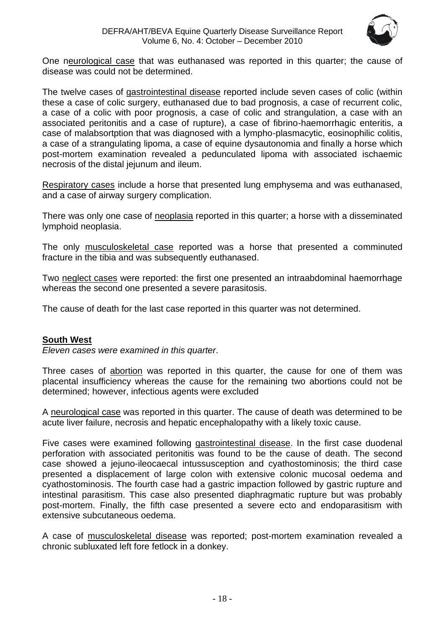

One neurological case that was euthanased was reported in this quarter; the cause of disease was could not be determined.

The twelve cases of gastrointestinal disease reported include seven cases of colic (within these a case of colic surgery, euthanased due to bad prognosis, a case of recurrent colic, a case of a colic with poor prognosis, a case of colic and strangulation, a case with an associated peritonitis and a case of rupture), a case of fibrino-haemorrhagic enteritis, a case of malabsortption that was diagnosed with a lympho-plasmacytic, eosinophilic colitis, a case of a strangulating lipoma, a case of equine dysautonomia and finally a horse which post-mortem examination revealed a pedunculated lipoma with associated ischaemic necrosis of the distal jejunum and ileum.

Respiratory cases include a horse that presented lung emphysema and was euthanased, and a case of airway surgery complication.

There was only one case of neoplasia reported in this quarter; a horse with a disseminated lymphoid neoplasia.

The only musculoskeletal case reported was a horse that presented a comminuted fracture in the tibia and was subsequently euthanased.

Two neglect cases were reported: the first one presented an intraabdominal haemorrhage whereas the second one presented a severe parasitosis.

The cause of death for the last case reported in this quarter was not determined.

# <span id="page-17-0"></span>**South West**

*Eleven cases were examined in this quarter*.

Three cases of abortion was reported in this quarter, the cause for one of them was placental insufficiency whereas the cause for the remaining two abortions could not be determined; however, infectious agents were excluded

A neurological case was reported in this quarter. The cause of death was determined to be acute liver failure, necrosis and hepatic encephalopathy with a likely toxic cause.

Five cases were examined following gastrointestinal disease. In the first case duodenal perforation with associated peritonitis was found to be the cause of death. The second case showed a jejuno-ileocaecal intussusception and cyathostominosis; the third case presented a displacement of large colon with extensive colonic mucosal oedema and cyathostominosis. The fourth case had a gastric impaction followed by gastric rupture and intestinal parasitism. This case also presented diaphragmatic rupture but was probably post-mortem. Finally, the fifth case presented a severe ecto and endoparasitism with extensive subcutaneous oedema.

A case of musculoskeletal disease was reported; post-mortem examination revealed a chronic subluxated left fore fetlock in a donkey.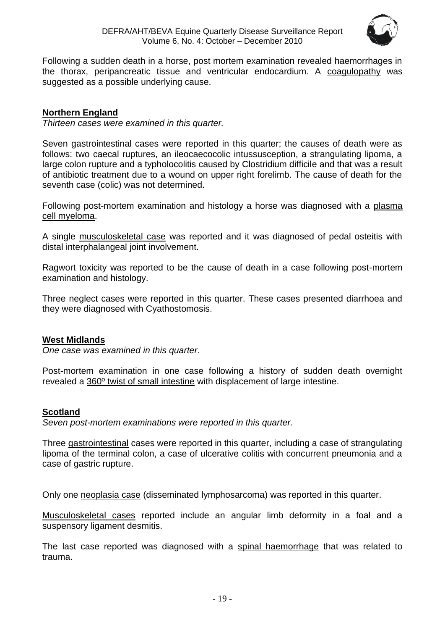

Following a sudden death in a horse, post mortem examination revealed haemorrhages in the thorax, peripancreatic tissue and ventricular endocardium. A coagulopathy was suggested as a possible underlying cause.

# <span id="page-18-0"></span>**Northern England**

*Thirteen cases were examined in this quarter.*

Seven gastrointestinal cases were reported in this quarter; the causes of death were as follows: two caecal ruptures, an ileocaecocolic intussusception, a strangulating lipoma, a large colon rupture and a typholocolitis caused by Clostridium difficile and that was a result of antibiotic treatment due to a wound on upper right forelimb. The cause of death for the seventh case (colic) was not determined.

Following post-mortem examination and histology a horse was diagnosed with a plasma cell myeloma.

A single musculoskeletal case was reported and it was diagnosed of pedal osteitis with distal interphalangeal joint involvement.

Ragwort toxicity was reported to be the cause of death in a case following post-mortem examination and histology.

Three neglect cases were reported in this quarter. These cases presented diarrhoea and they were diagnosed with Cyathostomosis.

# <span id="page-18-1"></span>**West Midlands**

*One case was examined in this quarter*.

Post-mortem examination in one case following a history of sudden death overnight revealed a 360º twist of small intestine with displacement of large intestine.

# <span id="page-18-2"></span>**Scotland**

*Seven post-mortem examinations were reported in this quarter.* 

Three gastrointestinal cases were reported in this quarter, including a case of strangulating lipoma of the terminal colon, a case of ulcerative colitis with concurrent pneumonia and a case of gastric rupture.

Only one neoplasia case (disseminated lymphosarcoma) was reported in this quarter.

Musculoskeletal cases reported include an angular limb deformity in a foal and a suspensory ligament desmitis.

The last case reported was diagnosed with a spinal haemorrhage that was related to trauma.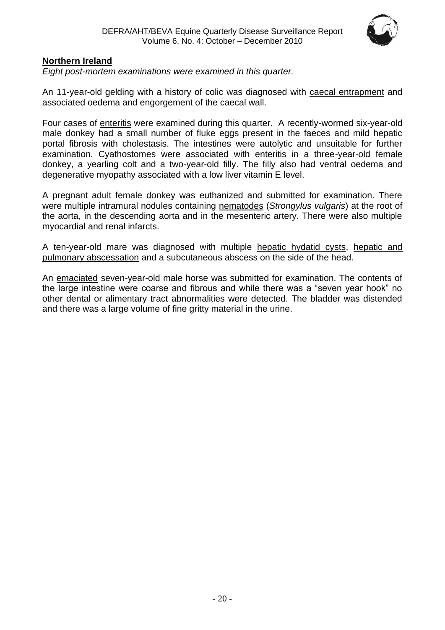

# <span id="page-19-0"></span>**Northern Ireland**

*Eight post-mortem examinations were examined in this quarter.*

An 11-year-old gelding with a history of colic was diagnosed with caecal entrapment and associated oedema and engorgement of the caecal wall.

Four cases of enteritis were examined during this quarter. A recently-wormed six-year-old male donkey had a small number of fluke eggs present in the faeces and mild hepatic portal fibrosis with cholestasis. The intestines were autolytic and unsuitable for further examination. Cyathostomes were associated with enteritis in a three-year-old female donkey, a yearling colt and a two-year-old filly. The filly also had ventral oedema and degenerative myopathy associated with a low liver vitamin E level.

A pregnant adult female donkey was euthanized and submitted for examination. There were multiple intramural nodules containing nematodes (*Strongylus vulgaris*) at the root of the aorta, in the descending aorta and in the mesenteric artery. There were also multiple myocardial and renal infarcts.

A ten-year-old mare was diagnosed with multiple hepatic hydatid cysts, hepatic and pulmonary abscessation and a subcutaneous abscess on the side of the head.

An emaciated seven-year-old male horse was submitted for examination. The contents of the large intestine were coarse and fibrous and while there was a "seven year hook" no other dental or alimentary tract abnormalities were detected. The bladder was distended and there was a large volume of fine gritty material in the urine.